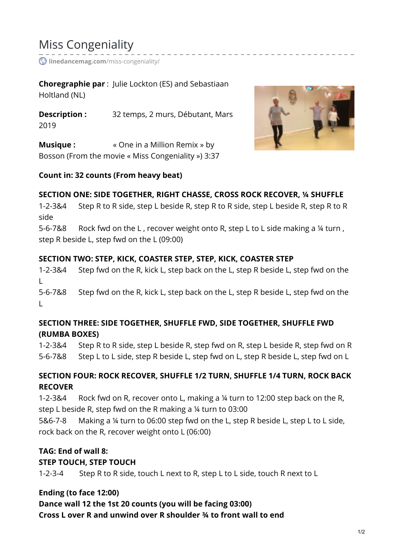# Miss Congeniality

*C* [linedancemag.com](https://www.linedancemag.com/miss-congeniality/)/miss-congeniality/

**Choregraphie par** : Julie Lockton (ES) and Sebastiaan Holtland (NL)

**Description :** 32 temps, 2 murs, Débutant, Mars 2019

**Musique :**  $\bullet$  **Cone in a Million Remix » by** Bosson (From the movie « Miss Congeniality ») 3:37



### **Count in: 32 counts (From heavy beat)**

#### **SECTION ONE: SIDE TOGETHER, RIGHT CHASSE, CROSS ROCK RECOVER, ¼ SHUFFLE**

1-2-3&4 Step R to R side, step L beside R, step R to R side, step L beside R, step R to R side

5-6-7&8 Rock fwd on the L , recover weight onto R, step L to L side making a ¼ turn , step R beside L, step fwd on the L (09:00)

#### **SECTION TWO: STEP, KICK, COASTER STEP, STEP, KICK, COASTER STEP**

1-2-3&4 Step fwd on the R, kick L, step back on the L, step R beside L, step fwd on the L

5-6-7&8 Step fwd on the R, kick L, step back on the L, step R beside L, step fwd on the L

## **SECTION THREE: SIDE TOGETHER, SHUFFLE FWD, SIDE TOGETHER, SHUFFLE FWD (RUMBA BOXES)**

1-2-3&4 Step R to R side, step L beside R, step fwd on R, step L beside R, step fwd on R 5-6-7&8 Step L to L side, step R beside L, step fwd on L, step R beside L, step fwd on L

# **SECTION FOUR: ROCK RECOVER, SHUFFLE 1/2 TURN, SHUFFLE 1/4 TURN, ROCK BACK RECOVER**

1-2-3&4 Rock fwd on R, recover onto L, making a ¼ turn to 12:00 step back on the R, step L beside R, step fwd on the R making a ¼ turn to 03:00

5&6-7-8 Making a ¼ turn to 06:00 step fwd on the L, step R beside L, step L to L side, rock back on the R, recover weight onto L (06:00)

# **TAG: End of wall 8:**

### **STEP TOUCH, STEP TOUCH**

1-2-3-4 Step R to R side, touch L next to R, step L to L side, touch R next to L

### **Ending (to face 12:00)**

# **Dance wall 12 the 1st 20 counts (you will be facing 03:00)**

**Cross L over R and unwind over R shoulder ¾ to front wall to end**